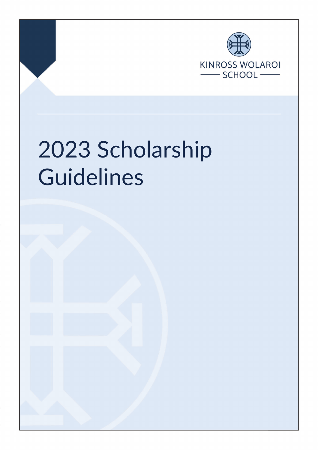

# 2023 Scholarship Guidelines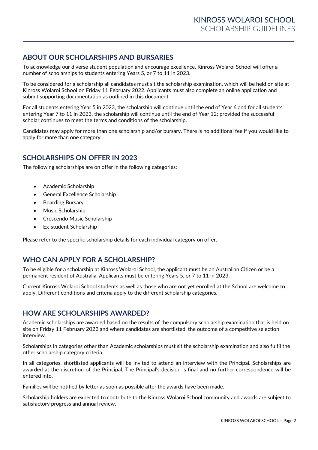## **ABOUT OUR SCHOLARSHIPS AND BURSARIES**

To acknowledge our diverse student population and encourage excellence, Kinross Wolaroi School will offer a number of scholarships to students entering Years 5, or 7 to 11 in 2023.

To be considered for a scholarship all candidates must sit the scholarship examination, which will be held on site at Kinross Wolaroi School on Friday 11 February 2022. Applicants must also complete an online application and submit supporting documentation as outlined in this document.

For all students entering Year 5 in 2023, the scholarship will continue until the end of Year 6 and for all students entering Year 7 to 11 in 2023, the scholarship will continue until the end of Year 12; provided the successful scholar continues to meet the terms and conditions of the scholarship.

Candidates may apply for more than one scholarship and/or bursary. There is no additional fee if you would like to apply for more than one category.

## **SCHOLARSHIPS ON OFFER IN 2023**

The following scholarships are on offer in the following categories:

- Academic Scholarship
- General Excellence Scholarship
- Boarding Bursary
- Music Scholarship
- Crescendo Music Scholarship
- Ex-student Scholarship

Please refer to the specific scholarship details for each individual category on offer.

## **WHO CAN APPLY FOR A SCHOLARSHIP?**

To be eligible for a scholarship at Kinross Wolaroi School, the applicant must be an Australian Citizen or be a permanent resident of Australia. Applicants must be entering Years 5, or 7 to 11 in 2023.

Current Kinross Wolaroi School students as well as those who are not yet enrolled at the School are welcome to apply. Different conditions and criteria apply to the different scholarship categories.

## **HOW ARE SCHOLARSHIPS AWARDED?**

Academic scholarships are awarded based on the results of the compulsory scholarship examination that is held on site on Friday 11 February 2022 and where candidates are shortlisted, the outcome of a competitive selection interview.

Scholarships in categories other than Academic scholarships must sit the scholarship examination and also fulfil the other scholarship category criteria.

In all categories, shortlisted applicants will be invited to attend an interview with the Principal. Scholarships are awarded at the discretion of the Principal. The Principal's decision is final and no further correspondence will be entered into.

Families will be notified by letter as soon as possible after the awards have been made.

Scholarship holders are expected to contribute to the Kinross Wolaroi School community and awards are subject to satisfactory progress and annual review.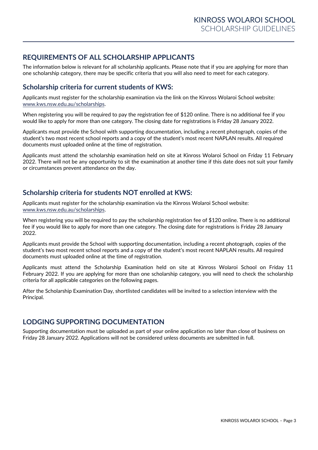## **REQUIREMENTS OF ALL SCHOLARSHIP APPLICANTS**

The information below is relevant for all scholarship applicants. Please note that if you are applying for more than one scholarship category, there may be specific criteria that you will also need to meet for each category.

## **Scholarship criteria for current students of KWS:**

Applicants must register for the scholarship examination via the link on the Kinross Wolaroi School website: [www.kws.nsw.edu.au/scholarships.](file://swol-cor-fs03.kws.nsw.edu.au/registrar/Scholarships%20&%20Bursaries/2018%20for%202019%20Scholarships/www.kws.nsw.edu.au/scholarships)

When registering you will be required to pay the registration fee of \$120 online. There is no additional fee if you would like to apply for more than one category. The closing date for registrations is Friday 28 January 2022.

Applicants must provide the School with supporting documentation, including a recent photograph, copies of the student's two most recent school reports and a copy of the student's most recent NAPLAN results. All required documents must uploaded online at the time of registration.

Applicants must attend the scholarship examination held on site at Kinross Wolaroi School on Friday 11 February 2022. There will not be any opportunity to sit the examination at another time if this date does not suit your family or circumstances prevent attendance on the day.

## **Scholarship criteria for students NOT enrolled at KWS:**

Applicants must register for the scholarship examination via the Kinross Wolaroi School website: [www.kws.nsw.edu.au/scholarships.](file://swol-cor-fs03.kws.nsw.edu.au/registrar/Scholarships%20&%20Bursaries/2018%20for%202019%20Scholarships/www.kws.nsw.edu.au/scholarships)

When registering you will be required to pay the scholarship registration fee of \$120 online. There is no additional fee if you would like to apply for more than one category. The closing date for registrations is Friday 28 January 2022.

Applicants must provide the School with supporting documentation, including a recent photograph, copies of the student's two most recent school reports and a copy of the student's most recent NAPLAN results. All required documents must uploaded online at the time of registration.

Applicants must attend the Scholarship Examination held on site at Kinross Wolaroi School on Friday 11 February 2022. If you are applying for more than one scholarship category, you will need to check the scholarship criteria for all applicable categories on the following pages.

After the Scholarship Examination Day, shortlisted candidates will be invited to a selection interview with the Principal.

## **LODGING SUPPORTING DOCUMENTATION**

Supporting documentation must be uploaded as part of your online application no later than close of business on Friday 28 January 2022. Applications will not be considered unless documents are submitted in full.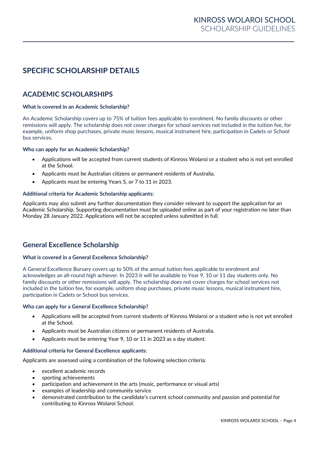# **SPECIFIC SCHOLARSHIP DETAILS**

## **ACADEMIC SCHOLARSHIPS**

#### **What is covered in an Academic Scholarship?**

An Academic Scholarship covers up to 75% of tuition fees applicable to enrolment. No family discounts or other remissions will apply. The scholarship does not cover charges for school services not included in the tuition fee, for example, uniform shop purchases, private music lessons, musical instrument hire, participation in Cadets or School bus services.

#### **Who can apply for an Academic Scholarship?**

- Applications will be accepted from current students of Kinross Wolaroi or a student who is not yet enrolled at the School.
- Applicants must be Australian citizens or permanent residents of Australia.
- Applicants must be entering Years 5, or 7 to 11 in 2023.

#### **Additional criteria for Academic Scholarship applicants:**

Applicants may also submit any further documentation they consider relevant to support the application for an Academic Scholarship. Supporting documentation must be uploaded online as part of your registration no later than Monday 28 January 2022. Applications will not be accepted unless submitted in full.

## **General Excellence Scholarship**

#### **What is covered in a General Excellence Scholarship?**

A General Excellence Bursary covers up to 50% of the annual tuition fees applicable to enrolment and acknowledges an all-round high achiever. In 2023 it will be available to Year 9, 10 or 11 day students only. No family discounts or other remissions will apply. The scholarship does not cover charges for school services not included in the tuition fee, for example, uniform shop purchases, private music lessons, musical instrument hire, participation in Cadets or School bus services.

#### **Who can apply for a General Excellence Scholarship?**

- Applications will be accepted from current students of Kinross Wolaroi or a student who is not yet enrolled at the School.
- Applicants must be Australian citizens or permanent residents of Australia.
- Applicants must be entering Year 9, 10 or 11 in 2023 as a day student.

#### **Additional criteria for General Excellence applicants:**

Applicants are assessed using a combination of the following selection criteria:

- excellent academic records
- sporting achievements
- participation and achievement in the arts (music, performance or visual arts)
- examples of leadership and community service
- demonstrated contribution to the candidate's current school community and passion and potential for contributing to Kinross Wolaroi School.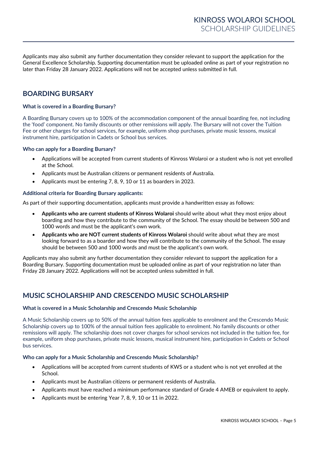Applicants may also submit any further documentation they consider relevant to support the application for the General Excellence Scholarship. Supporting documentation must be uploaded online as part of your registration no later than Friday 28 January 2022. Applications will not be accepted unless submitted in full.

## **BOARDING BURSARY**

#### **What is covered in a Boarding Bursary?**

A Boarding Bursary covers up to 100% of the accommodation component of the annual boarding fee, not including the 'food' component. No family discounts or other remissions will apply. The Bursary will not cover the Tuition Fee or other charges for school services, for example, uniform shop purchases, private music lessons, musical instrument hire, participation in Cadets or School bus services.

#### **Who can apply for a Boarding Bursary?**

- Applications will be accepted from current students of Kinross Wolaroi or a student who is not yet enrolled at the School.
- Applicants must be Australian citizens or permanent residents of Australia.
- Applicants must be entering 7, 8, 9, 10 or 11 as boarders in 2023.

#### **Additional criteria for Boarding Bursary applicants:**

As part of their supporting documentation, applicants must provide a handwritten essay as follows:

- **Applicants who are current students of Kinross Wolaroi** should write about what they most enjoy about boarding and how they contribute to the community of the School. The essay should be between 500 and 1000 words and must be the applicant's own work.
- **Applicants who are NOT current students of Kinross Wolaroi** should write about what they are most looking forward to as a boarder and how they will contribute to the community of the School. The essay should be between 500 and 1000 words and must be the applicant's own work.

Applicants may also submit any further documentation they consider relevant to support the application for a Boarding Bursary. Supporting documentation must be uploaded online as part of your registration no later than Friday 28 January 2022. Applications will not be accepted unless submitted in full.

## **MUSIC SCHOLARSHIP AND CRESCENDO MUSIC SCHOLARSHIP**

#### **What is covered in a Music Scholarship and Crescendo Music Scholarship**

A Music Scholarship covers up to 50% of the annual tuition fees applicable to enrolment and the Crescendo Music Scholarship covers up to 100% of the annual tuition fees applicable to enrolment. No family discounts or other remissions will apply. The scholarship does not cover charges for school services not included in the tuition fee, for example, uniform shop purchases, private music lessons, musical instrument hire, participation in Cadets or School bus services.

#### **Who can apply for a Music Scholarship and Crescendo Music Scholarship?**

- Applications will be accepted from current students of KWS or a student who is not yet enrolled at the School.
- Applicants must be Australian citizens or permanent residents of Australia.
- Applicants must have reached a minimum performance standard of Grade 4 AMEB or equivalent to apply.
- Applicants must be entering Year 7, 8, 9, 10 or 11 in 2022.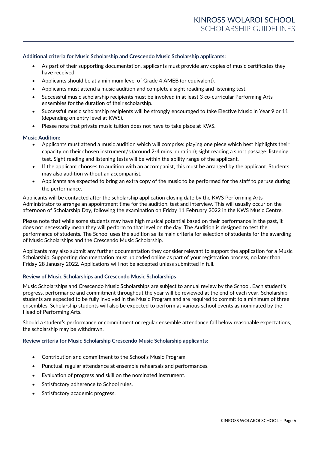#### **Additional criteria for Music Scholarship and Crescendo Music Scholarship applicants:**

- As part of their supporting documentation, applicants must provide any copies of music certificates they have received.
- Applicants should be at a minimum level of Grade 4 AMEB (or equivalent).
- Applicants must attend a music audition and complete a sight reading and listening test.
- Successful music scholarship recipients must be involved in at least 3 co-curricular Performing Arts ensembles for the duration of their scholarship.
- Successful music scholarship recipients will be strongly encouraged to take Elective Music in Year 9 or 11 (depending on entry level at KWS).
- Please note that private music tuition does not have to take place at KWS.

#### **Music Audition:**

- Applicants must attend a music audition which will comprise: playing one piece which best highlights their capacity on their chosen instrument/s (around 2-4 mins. duration); sight reading a short passage; listening test. Sight reading and listening tests will be within the ability range of the applicant.
- If the applicant chooses to audition with an accompanist, this must be arranged by the applicant. Students may also audition without an accompanist.
- Applicants are expected to bring an extra copy of the music to be performed for the staff to peruse during the performance.

Applicants will be contacted after the scholarship application closing date by the KWS Performing Arts Administrator to arrange an appointment time for the audition, test and interview. This will usually occur on the afternoon of Scholarship Day, following the examination on Friday 11 February 2022 in the KWS Music Centre.

Please note that while some students may have high musical potential based on their performance in the past, it does not necessarily mean they will perform to that level on the day. The Audition is designed to test the performance of students. The School uses the audition as its main criteria for selection of students for the awarding of Music Scholarships and the Crescendo Music Scholarship.

Applicants may also submit any further documentation they consider relevant to support the application for a Music Scholarship. Supporting documentation must uploaded online as part of your registration process, no later than Friday 28 January 2022. Applications will not be accepted unless submitted in full.

#### **Review of Music Scholarships and Crescendo Music Scholarships**

Music Scholarships and Crescendo Music Scholarships are subject to annual review by the School. Each student's progress, performance and commitment throughout the year will be reviewed at the end of each year. Scholarship students are expected to be fully involved in the Music Program and are required to commit to a minimum of three ensembles. Scholarship students will also be expected to perform at various school events as nominated by the Head of Performing Arts.

Should a student's performance or commitment or regular ensemble attendance fall below reasonable expectations, the scholarship may be withdrawn.

#### **Review criteria for Music Scholarship Crescendo Music Scholarship applicants:**

- Contribution and commitment to the School's Music Program.
- Punctual, regular attendance at ensemble rehearsals and performances.
- Evaluation of progress and skill on the nominated instrument.
- Satisfactory adherence to School rules.
- Satisfactory academic progress.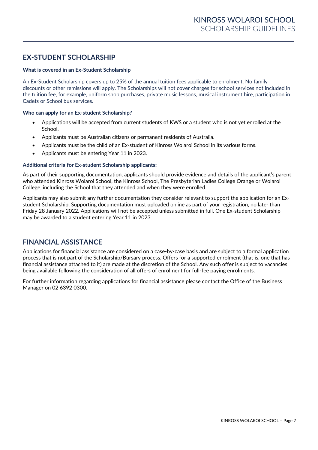## **EX-STUDENT SCHOLARSHIP**

#### **What is covered in an Ex-Student Scholarship**

An Ex-Student Scholarship covers up to 25% of the annual tuition fees applicable to enrolment. No family discounts or other remissions will apply. The Scholarships will not cover charges for school services not included in the tuition fee, for example, uniform shop purchases, private music lessons, musical instrument hire, participation in Cadets or School bus services.

#### **Who can apply for an Ex-student Scholarship?**

- Applications will be accepted from current students of KWS or a student who is not yet enrolled at the School.
- Applicants must be Australian citizens or permanent residents of Australia.
- Applicants must be the child of an Ex-student of Kinross Wolaroi School in its various forms.
- Applicants must be entering Year 11 in 2023.

#### **Additional criteria for Ex-student Scholarship applicants:**

As part of their supporting documentation, applicants should provide evidence and details of the applicant's parent who attended Kinross Wolaroi School, the Kinross School, The Presbyterian Ladies College Orange or Wolaroi College, including the School that they attended and when they were enrolled.

Applicants may also submit any further documentation they consider relevant to support the application for an Exstudent Scholarship. Supporting documentation must uploaded online as part of your registration, no later than Friday 28 January 2022. Applications will not be accepted unless submitted in full. One Ex-student Scholarship may be awarded to a student entering Year 11 in 2023.

## **FINANCIAL ASSISTANCE**

Applications for financial assistance are considered on a case-by-case basis and are subject to a formal application process that is not part of the Scholarship/Bursary process. Offers for a supported enrolment (that is, one that has financial assistance attached to it) are made at the discretion of the School. Any such offer is subject to vacancies being available following the consideration of all offers of enrolment for full-fee paying enrolments.

For further information regarding applications for financial assistance please contact the Office of the Business Manager on 02 6392 0300.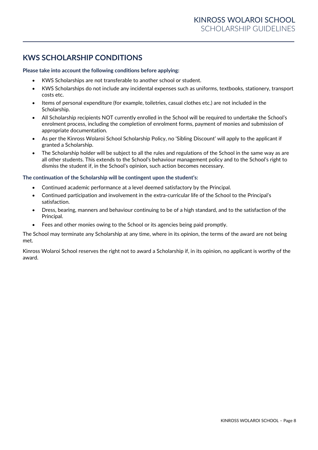## **KWS SCHOLARSHIP CONDITIONS**

#### **Please take into account the following conditions before applying:**

- KWS Scholarships are not transferable to another school or student.
- KWS Scholarships do not include any incidental expenses such as uniforms, textbooks, stationery, transport costs etc.
- Items of personal expenditure (for example, toiletries, casual clothes etc.) are not included in the Scholarship.
- All Scholarship recipients NOT currently enrolled in the School will be required to undertake the School's enrolment process, including the completion of enrolment forms, payment of monies and submission of appropriate documentation.
- As per the Kinross Wolaroi School Scholarship Policy, no 'Sibling Discount' will apply to the applicant if granted a Scholarship.
- The Scholarship holder will be subject to all the rules and regulations of the School in the same way as are all other students. This extends to the School's behaviour management policy and to the School's right to dismiss the student if, in the School's opinion, such action becomes necessary.

#### **The continuation of the Scholarship will be contingent upon the student's:**

- Continued academic performance at a level deemed satisfactory by the Principal.
- Continued participation and involvement in the extra-curricular life of the School to the Principal's satisfaction.
- Dress, bearing, manners and behaviour continuing to be of a high standard, and to the satisfaction of the Principal.
- Fees and other monies owing to the School or its agencies being paid promptly.

The School may terminate any Scholarship at any time, where in its opinion, the terms of the award are not being met.

Kinross Wolaroi School reserves the right not to award a Scholarship if, in its opinion, no applicant is worthy of the award.